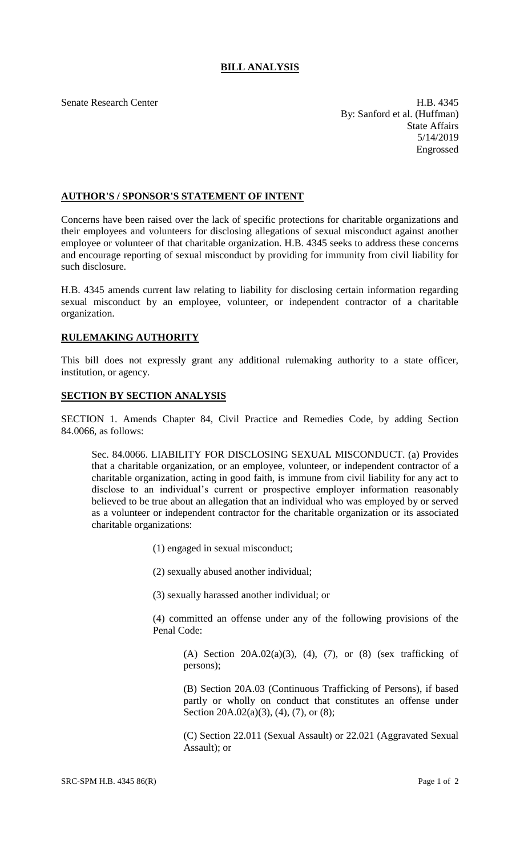## **BILL ANALYSIS**

Senate Research Center **H.B.** 4345 By: Sanford et al. (Huffman) State Affairs 5/14/2019 Engrossed

## **AUTHOR'S / SPONSOR'S STATEMENT OF INTENT**

Concerns have been raised over the lack of specific protections for charitable organizations and their employees and volunteers for disclosing allegations of sexual misconduct against another employee or volunteer of that charitable organization. H.B. 4345 seeks to address these concerns and encourage reporting of sexual misconduct by providing for immunity from civil liability for such disclosure.

H.B. 4345 amends current law relating to liability for disclosing certain information regarding sexual misconduct by an employee, volunteer, or independent contractor of a charitable organization.

## **RULEMAKING AUTHORITY**

This bill does not expressly grant any additional rulemaking authority to a state officer, institution, or agency.

## **SECTION BY SECTION ANALYSIS**

SECTION 1. Amends Chapter 84, Civil Practice and Remedies Code, by adding Section 84.0066, as follows:

Sec. 84.0066. LIABILITY FOR DISCLOSING SEXUAL MISCONDUCT. (a) Provides that a charitable organization, or an employee, volunteer, or independent contractor of a charitable organization, acting in good faith, is immune from civil liability for any act to disclose to an individual's current or prospective employer information reasonably believed to be true about an allegation that an individual who was employed by or served as a volunteer or independent contractor for the charitable organization or its associated charitable organizations:

(1) engaged in sexual misconduct;

(2) sexually abused another individual;

(3) sexually harassed another individual; or

(4) committed an offense under any of the following provisions of the Penal Code:

(A) Section  $20A.02(a)(3)$ , (4), (7), or (8) (sex trafficking of persons);

(B) Section 20A.03 (Continuous Trafficking of Persons), if based partly or wholly on conduct that constitutes an offense under Section 20A.02(a)(3), (4), (7), or (8);

(C) Section 22.011 (Sexual Assault) or 22.021 (Aggravated Sexual Assault); or